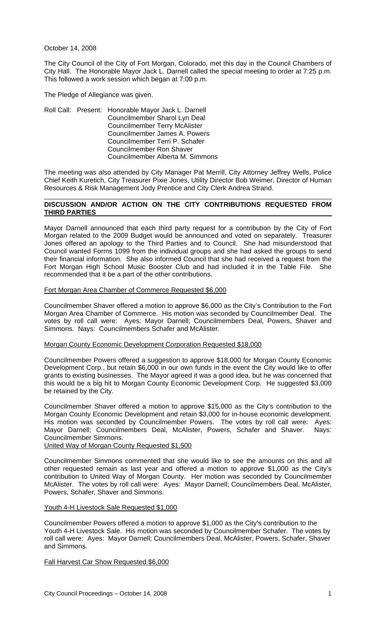October 14, 2008

The City Council of the City of Fort Morgan, Colorado, met this day in the Council Chambers of City Hall. The Honorable Mayor Jack L. Darnell called the special meeting to order at 7:25 p.m. This followed a work session which began at 7:00 p.m.

The Pledge of Allegiance was given.

Roll Call: Present: Honorable Mayor Jack L. Darnell Councilmember Sharol Lyn Deal Councilmember Terry McAlister Councilmember James A. Powers Councilmember Terri P. Schafer Councilmember Ron Shaver Councilmember Alberta M. Simmons

The meeting was also attended by City Manager Pat Merrill, City Attorney Jeffrey Wells, Police Chief Keith Kuretich, City Treasurer Pixie Jones, Utility Director Bob Weimer, Director of Human Resources & Risk Management Jody Prentice and City Clerk Andrea Strand.

# **DISCUSSION AND/OR ACTION ON THE CITY CONTRIBUTIONS REQUESTED FROM THIRD PARTIES**

Mayor Darnell announced that each third party request for a contribution by the City of Fort Morgan related to the 2009 Budget would be announced and voted on separately. Treasurer Jones offered an apology to the Third Parties and to Council. She had misunderstood that Council wanted Forms 1099 from the individual groups and she had asked the groups to send their financial information. She also informed Council that she had received a request from the Fort Morgan High School Music Booster Club and had included it in the Table File. She recommended that it be a part of the other contributions.

# Fort Morgan Area Chamber of Commerce Requested \$6,000

Councilmember Shaver offered a motion to approve \$6,000 as the City's Contribution to the Fort Morgan Area Chamber of Commerce. His motion was seconded by Councilmember Deal. The votes by roll call were: Ayes: Mayor Darnell; Councilmembers Deal, Powers, Shaver and Simmons. Nays: Councilmembers Schafer and McAlister.

### Morgan County Economic Development Corporation Requested \$18,000

Councilmember Powers offered a suggestion to approve \$18,000 for Morgan County Economic Development Corp., but retain \$6,000 in our own funds in the event the City would like to offer grants to existing businesses. The Mayor agreed it was a good idea, but he was concerned that this would be a big hit to Morgan County Economic Development Corp. He suggested \$3,000 be retained by the City.

Councilmember Shaver offered a motion to approve \$15,000 as the City's contribution to the Morgan County Economic Development and retain \$3,000 for in-house economic development. His motion was seconded by Councilmember Powers. The votes by roll call were: Ayes: Mayor Darnell; Councilmembers Deal, McAlister, Powers, Schafer and Shaver. Nays: Councilmember Simmons.

United Way of Morgan County Requested \$1,500

Councilmember Simmons commented that she would like to see the amounts on this and all other requested remain as last year and offered a motion to approve \$1,000 as the City's contribution to United Way of Morgan County. Her motion was seconded by Councilmember McAlister. The votes by roll call were: Ayes: Mayor Darnell; Councilmembers Deal, McAlister, Powers, Schafer, Shaver and Simmons.

### Youth 4-H Livestock Sale Requested \$1,000

Councilmember Powers offered a motion to approve \$1,000 as the City's contribution to the Youth 4-H Livestock Sale. His motion was seconded by Councilmember Schafer. The votes by roll call were: Ayes: Mayor Darnell; Councilmembers Deal, McAlister, Powers, Schafer, Shaver and Simmons.

# Fall Harvest Car Show Requested \$6,000